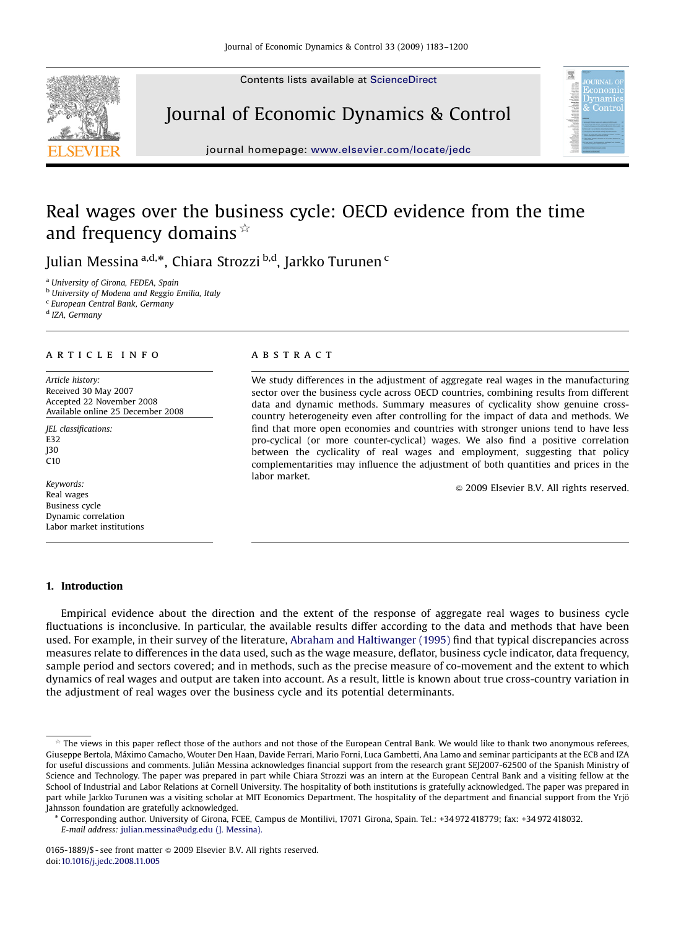Contents lists available at [ScienceDirect](www.sciencedirect.com/science/journal/dyncon)







journal homepage: <www.elsevier.com/locate/jedc>

## Real wages over the business cycle: OECD evidence from the time and frequency domains  $\overline{\mathbb{R}}$

Julian Messina <sup>a,d,</sup>\*, Chiara Strozzi <sup>b,d</sup>, Jarkko Turunen <sup>c</sup>

<sup>a</sup> University of Girona, FEDEA, Spain

<sup>b</sup> University of Modena and Reggio Emilia, Italy

<sup>c</sup> European Central Bank, Germany

<sup>d</sup> IZA, Germany

#### ARTICIE INFO

Article history: Received 30 May 2007 Accepted 22 November 2008 Available online 25 December 2008

JEL classifications: E32 J30 C10

Keywords: Real wages Business cycle Dynamic correlation Labor market institutions

#### 1. Introduction

### **ARSTRACT**

We study differences in the adjustment of aggregate real wages in the manufacturing sector over the business cycle across OECD countries, combining results from different data and dynamic methods. Summary measures of cyclicality show genuine crosscountry heterogeneity even after controlling for the impact of data and methods. We find that more open economies and countries with stronger unions tend to have less pro-cyclical (or more counter-cyclical) wages. We also find a positive correlation between the cyclicality of real wages and employment, suggesting that policy complementarities may influence the adjustment of both quantities and prices in the labor market.

 $© 2009 Elsevier B.V. All rights reserved.$ 

Empirical evidence about the direction and the extent of the response of aggregate real wages to business cycle fluctuations is inconclusive. In particular, the available results differ according to the data and methods that have been used. For example, in their survey of the literature, [Abraham and Haltiwanger \(1995\)](#page--1-0) find that typical discrepancies across measures relate to differences in the data used, such as the wage measure, deflator, business cycle indicator, data frequency, sample period and sectors covered; and in methods, such as the precise measure of co-movement and the extent to which dynamics of real wages and output are taken into account. As a result, little is known about true cross-country variation in the adjustment of real wages over the business cycle and its potential determinants.

 $*$  The views in this paper reflect those of the authors and not those of the European Central Bank. We would like to thank two anonymous referees, Giuseppe Bertola, Ma´ximo Camacho, Wouter Den Haan, Davide Ferrari, Mario Forni, Luca Gambetti, Ana Lamo and seminar participants at the ECB and IZA for useful discussions and comments. Julián Messina acknowledges financial support from the research grant SEJ2007-62500 of the Spanish Ministry of Science and Technology. The paper was prepared in part while Chiara Strozzi was an intern at the European Central Bank and a visiting fellow at the School of Industrial and Labor Relations at Cornell University. The hospitality of both institutions is gratefully acknowledged. The paper was prepared in part while Jarkko Turunen was a visiting scholar at MIT Economics Department. The hospitality of the department and financial support from the Yrjö Jahnsson foundation are gratefully acknowledged.

Corresponding author. University of Girona, FCEE, Campus de Montilivi, 17071 Girona, Spain. Tel.: +34 972 418779; fax: +34 972 418032. E-mail address: [julian.messina@udg.edu \(J. Messina\).](mailto:julian.messina@udg.edu)

<sup>0165-1889/\$ -</sup> see front matter  $\circ$  2009 Elsevier B.V. All rights reserved. doi:[10.1016/j.jedc.2008.11.005](dx.doi.org/10.1016/j.jedc.2008.11.005)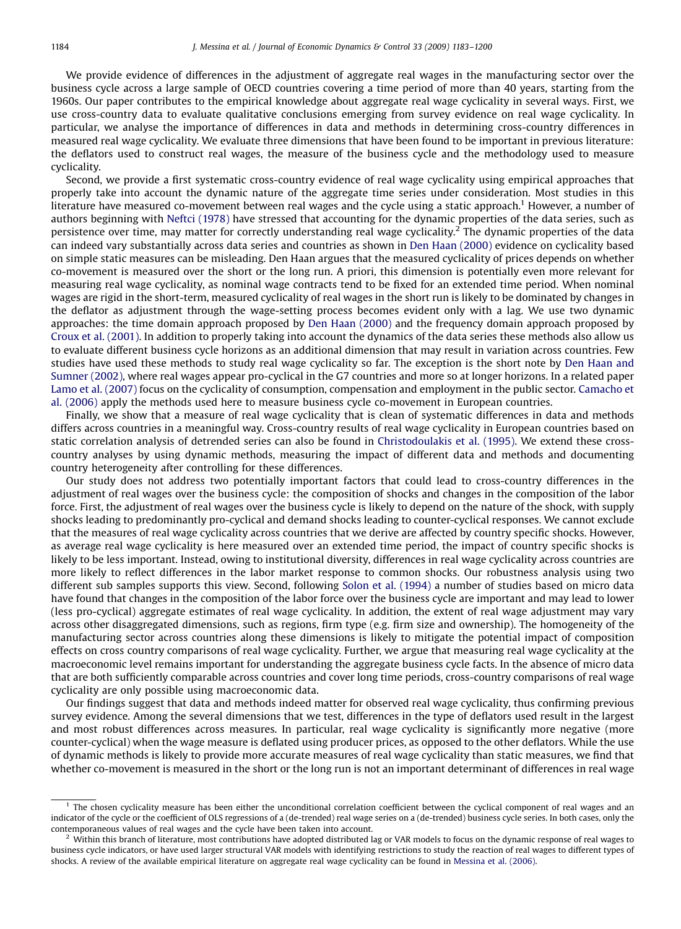We provide evidence of differences in the adjustment of aggregate real wages in the manufacturing sector over the business cycle across a large sample of OECD countries covering a time period of more than 40 years, starting from the 1960s. Our paper contributes to the empirical knowledge about aggregate real wage cyclicality in several ways. First, we use cross-country data to evaluate qualitative conclusions emerging from survey evidence on real wage cyclicality. In particular, we analyse the importance of differences in data and methods in determining cross-country differences in measured real wage cyclicality. We evaluate three dimensions that have been found to be important in previous literature: the deflators used to construct real wages, the measure of the business cycle and the methodology used to measure cyclicality.

Second, we provide a first systematic cross-country evidence of real wage cyclicality using empirical approaches that properly take into account the dynamic nature of the aggregate time series under consideration. Most studies in this literature have measured co-movement between real wages and the cycle using a static approach.<sup>1</sup> However, a number of authors beginning with [Neftci \(1978\)](#page--1-0) have stressed that accounting for the dynamic properties of the data series, such as persistence over time, may matter for correctly understanding real wage cyclicality.<sup>2</sup> The dynamic properties of the data can indeed vary substantially across data series and countries as shown in [Den Haan \(2000\)](#page--1-0) evidence on cyclicality based on simple static measures can be misleading. Den Haan argues that the measured cyclicality of prices depends on whether co-movement is measured over the short or the long run. A priori, this dimension is potentially even more relevant for measuring real wage cyclicality, as nominal wage contracts tend to be fixed for an extended time period. When nominal wages are rigid in the short-term, measured cyclicality of real wages in the short run is likely to be dominated by changes in the deflator as adjustment through the wage-setting process becomes evident only with a lag. We use two dynamic approaches: the time domain approach proposed by [Den Haan \(2000\)](#page--1-0) and the frequency domain approach proposed by [Croux et al. \(2001\)](#page--1-0). In addition to properly taking into account the dynamics of the data series these methods also allow us to evaluate different business cycle horizons as an additional dimension that may result in variation across countries. Few studies have used these methods to study real wage cyclicality so far. The exception is the short note by [Den Haan and](#page--1-0) [Sumner \(2002\)](#page--1-0), where real wages appear pro-cyclical in the G7 countries and more so at longer horizons. In a related paper [Lamo et al. \(2007\)](#page--1-0) focus on the cyclicality of consumption, compensation and employment in the public sector. [Camacho et](#page--1-0) [al. \(2006\)](#page--1-0) apply the methods used here to measure business cycle co-movement in European countries.

Finally, we show that a measure of real wage cyclicality that is clean of systematic differences in data and methods differs across countries in a meaningful way. Cross-country results of real wage cyclicality in European countries based on static correlation analysis of detrended series can also be found in [Christodoulakis et al. \(1995\).](#page--1-0) We extend these crosscountry analyses by using dynamic methods, measuring the impact of different data and methods and documenting country heterogeneity after controlling for these differences.

Our study does not address two potentially important factors that could lead to cross-country differences in the adjustment of real wages over the business cycle: the composition of shocks and changes in the composition of the labor force. First, the adjustment of real wages over the business cycle is likely to depend on the nature of the shock, with supply shocks leading to predominantly pro-cyclical and demand shocks leading to counter-cyclical responses. We cannot exclude that the measures of real wage cyclicality across countries that we derive are affected by country specific shocks. However, as average real wage cyclicality is here measured over an extended time period, the impact of country specific shocks is likely to be less important. Instead, owing to institutional diversity, differences in real wage cyclicality across countries are more likely to reflect differences in the labor market response to common shocks. Our robustness analysis using two different sub samples supports this view. Second, following [Solon et al. \(1994\)](#page--1-0) a number of studies based on micro data have found that changes in the composition of the labor force over the business cycle are important and may lead to lower (less pro-cyclical) aggregate estimates of real wage cyclicality. In addition, the extent of real wage adjustment may vary across other disaggregated dimensions, such as regions, firm type (e.g. firm size and ownership). The homogeneity of the manufacturing sector across countries along these dimensions is likely to mitigate the potential impact of composition effects on cross country comparisons of real wage cyclicality. Further, we argue that measuring real wage cyclicality at the macroeconomic level remains important for understanding the aggregate business cycle facts. In the absence of micro data that are both sufficiently comparable across countries and cover long time periods, cross-country comparisons of real wage cyclicality are only possible using macroeconomic data.

Our findings suggest that data and methods indeed matter for observed real wage cyclicality, thus confirming previous survey evidence. Among the several dimensions that we test, differences in the type of deflators used result in the largest and most robust differences across measures. In particular, real wage cyclicality is significantly more negative (more counter-cyclical) when the wage measure is deflated using producer prices, as opposed to the other deflators. While the use of dynamic methods is likely to provide more accurate measures of real wage cyclicality than static measures, we find that whether co-movement is measured in the short or the long run is not an important determinant of differences in real wage

<sup>&</sup>lt;sup>1</sup> The chosen cyclicality measure has been either the unconditional correlation coefficient between the cyclical component of real wages and an indicator of the cycle or the coefficient of OLS regressions of a (de-trended) real wage series on a (de-trended) business cycle series. In both cases, only the contemporaneous values of real wages and the cycle have been taken into account.

 $<sup>2</sup>$  Within this branch of literature, most contributions have adopted distributed lag or VAR models to focus on the dynamic response of real wages to</sup> business cycle indicators, or have used larger structural VAR models with identifying restrictions to study the reaction of real wages to different types of shocks. A review of the available empirical literature on aggregate real wage cyclicality can be found in [Messina et al. \(2006\)](#page--1-0).